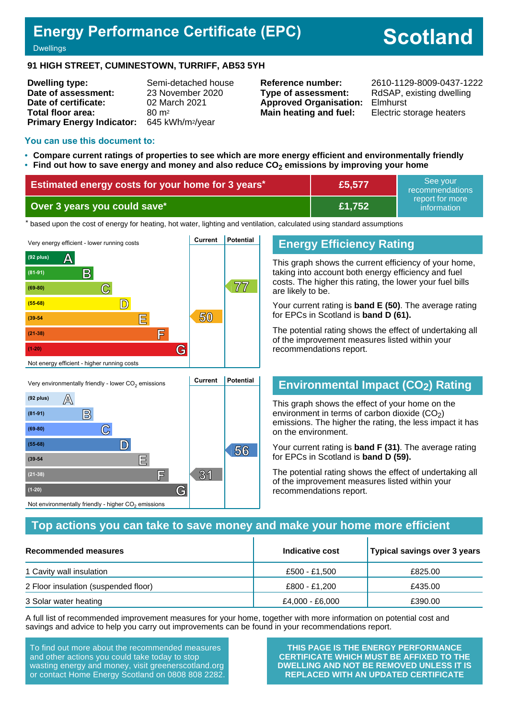## **Energy Performance Certificate (EPC)**

# **Scotland**

#### Dwellings

#### **91 HIGH STREET, CUMINESTOWN, TURRIFF, AB53 5YH**

**Dwelling type:** Semi-detached house **Date of assessment:** 23 November 2020 **Date of certificate:** 02 March 2021 **Total floor area:** 80 m<sup>2</sup> **Primary Energy Indicator:** 645 kWh/m2/year

**Type of assessment:** RdSAP, existing dwelling **Approved Organisation:** Elmhurst **Main heating and fuel:** Electric storage heaters

**Reference number:** 2610-1129-8009-0437-1222

#### **You can use this document to:**

- **Compare current ratings of properties to see which are more energy efficient and environmentally friendly**
- **Find out how to save energy and money and also reduce CO2 emissions by improving your home**

| Estimated energy costs for your home for 3 years* | £5,577 | ' See vour<br>recommendations  |
|---------------------------------------------------|--------|--------------------------------|
| Over 3 years you could save* \                    | £1.752 | report for more<br>information |

the based upon the cost of energy for heating, hot water, lighting and ventilation, calculated using standard assumptions



#### **Energy Efficiency Rating**

This graph shows the current efficiency of your home, taking into account both energy efficiency and fuel costs. The higher this rating, the lower your fuel bills are likely to be.

Your current rating is **band E (50)**. The average rating for EPCs in Scotland is **band D (61).**

The potential rating shows the effect of undertaking all of the improvement measures listed within your recommendations report.

## **Environmental Impact (CO2) Rating**

This graph shows the effect of your home on the environment in terms of carbon dioxide  $(CO<sub>2</sub>)$ emissions. The higher the rating, the less impact it has on the environment.

Your current rating is **band F (31)**. The average rating for EPCs in Scotland is **band D (59).**

The potential rating shows the effect of undertaking all of the improvement measures listed within your recommendations report.

#### **Top actions you can take to save money and make your home more efficient**

| Recommended measures                 | Indicative cost | Typical savings over 3 years |
|--------------------------------------|-----------------|------------------------------|
| 1 Cavity wall insulation             | £500 - £1.500   | £825.00                      |
| 2 Floor insulation (suspended floor) | £800 - £1.200   | £435.00                      |
| 3 Solar water heating                | £4,000 - £6,000 | £390.00                      |

A full list of recommended improvement measures for your home, together with more information on potential cost and savings and advice to help you carry out improvements can be found in your recommendations report.

To find out more about the recommended measures and other actions you could take today to stop wasting energy and money, visit greenerscotland.org or contact Home Energy Scotland on 0808 808 2282.

**(1-20) G**

Not environmentally friendly - higher  $\mathrm{CO}_2$  emissions

**THIS PAGE IS THE ENERGY PERFORMANCE CERTIFICATE WHICH MUST BE AFFIXED TO THE DWELLING AND NOT BE REMOVED UNLESS IT IS REPLACED WITH AN UPDATED CERTIFICATE**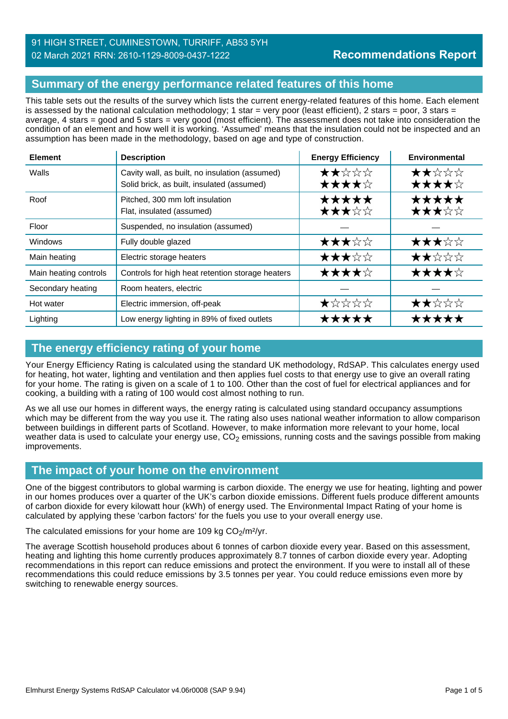## 91 HIGH STREET, CUMINESTOWN, TURRIFF, AB53 5YH 02 March 2021 RRN: 2610-1129-8009-0437-1222

## **Summary of the energy performance related features of this home**

This table sets out the results of the survey which lists the current energy-related features of this home. Each element is assessed by the national calculation methodology; 1 star = very poor (least efficient), 2 stars = poor, 3 stars = average, 4 stars = good and 5 stars = very good (most efficient). The assessment does not take into consideration the condition of an element and how well it is working. 'Assumed' means that the insulation could not be inspected and an assumption has been made in the methodology, based on age and type of construction.

| <b>Element</b>        | <b>Description</b>                                                                           | <b>Energy Efficiency</b> | Environmental  |
|-----------------------|----------------------------------------------------------------------------------------------|--------------------------|----------------|
| Walls                 | Cavity wall, as built, no insulation (assumed)<br>Solid brick, as built, insulated (assumed) | ★★☆☆☆<br>★★★★☆           | ★★☆☆☆<br>★★★★☆ |
| Roof                  | Pitched, 300 mm loft insulation<br>Flat, insulated (assumed)                                 | *****<br>★★★☆☆           | *****<br>★★★☆☆ |
| Floor                 | Suspended, no insulation (assumed)                                                           |                          |                |
| Windows               | Fully double glazed                                                                          | ★★★☆☆                    | ★★★☆☆          |
| Main heating          | Electric storage heaters                                                                     | ★★★☆☆                    | ★★☆☆☆          |
| Main heating controls | Controls for high heat retention storage heaters                                             | ★★★★☆                    | ★★★★☆          |
| Secondary heating     | Room heaters, electric                                                                       |                          |                |
| Hot water             | Electric immersion, off-peak                                                                 | ★☆☆☆☆                    | ★★☆☆☆          |
| Lighting              | Low energy lighting in 89% of fixed outlets                                                  | *****                    | *****          |

## **The energy efficiency rating of your home**

Your Energy Efficiency Rating is calculated using the standard UK methodology, RdSAP. This calculates energy used for heating, hot water, lighting and ventilation and then applies fuel costs to that energy use to give an overall rating for your home. The rating is given on a scale of 1 to 100. Other than the cost of fuel for electrical appliances and for cooking, a building with a rating of 100 would cost almost nothing to run.

As we all use our homes in different ways, the energy rating is calculated using standard occupancy assumptions which may be different from the way you use it. The rating also uses national weather information to allow comparison between buildings in different parts of Scotland. However, to make information more relevant to your home, local weather data is used to calculate your energy use,  $CO<sub>2</sub>$  emissions, running costs and the savings possible from making improvements.

## **The impact of your home on the environment**

One of the biggest contributors to global warming is carbon dioxide. The energy we use for heating, lighting and power in our homes produces over a quarter of the UK's carbon dioxide emissions. Different fuels produce different amounts of carbon dioxide for every kilowatt hour (kWh) of energy used. The Environmental Impact Rating of your home is calculated by applying these 'carbon factors' for the fuels you use to your overall energy use.

The calculated emissions for your home are 109 kg  $CO<sub>2</sub>/m<sup>2</sup>/yr$ .

The average Scottish household produces about 6 tonnes of carbon dioxide every year. Based on this assessment, heating and lighting this home currently produces approximately 8.7 tonnes of carbon dioxide every year. Adopting recommendations in this report can reduce emissions and protect the environment. If you were to install all of these recommendations this could reduce emissions by 3.5 tonnes per year. You could reduce emissions even more by switching to renewable energy sources.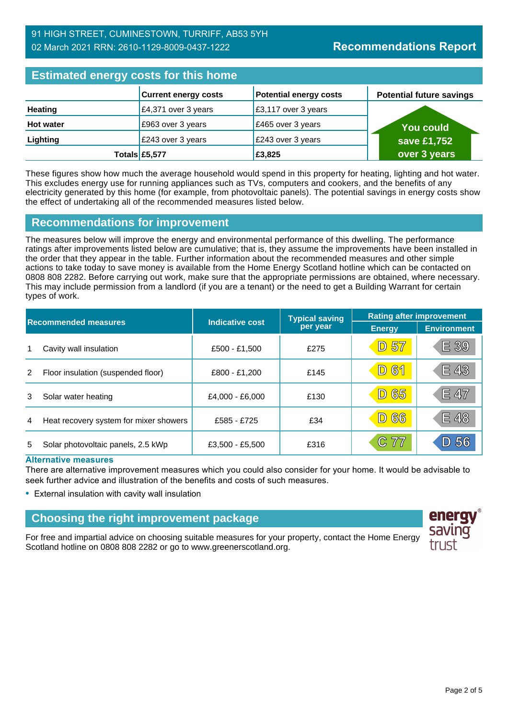| <b>Estimated energy costs for this home</b> |                             |                    |
|---------------------------------------------|-----------------------------|--------------------|
|                                             | <b>Current energy costs</b> | Potential energy c |

|                  | <b>Current energy costs</b> | <b>Potential energy costs</b> | <b>Potential future savings</b> |
|------------------|-----------------------------|-------------------------------|---------------------------------|
| <b>Heating</b>   | $\vert$ £4,371 over 3 years | £3,117 over 3 years           |                                 |
| <b>Hot water</b> | £963 over 3 years           | £465 over 3 years             | <b>You could</b>                |
| Lighting         | £243 over 3 years           | £243 over 3 years             | save £1,752                     |
|                  | Totals £5,577               | £3,825                        | over 3 years                    |

These figures show how much the average household would spend in this property for heating, lighting and hot water. This excludes energy use for running appliances such as TVs, computers and cookers, and the benefits of any electricity generated by this home (for example, from photovoltaic panels). The potential savings in energy costs show the effect of undertaking all of the recommended measures listed below.

## **Recommendations for improvement**

The measures below will improve the energy and environmental performance of this dwelling. The performance ratings after improvements listed below are cumulative; that is, they assume the improvements have been installed in the order that they appear in the table. Further information about the recommended measures and other simple actions to take today to save money is available from the Home Energy Scotland hotline which can be contacted on 0808 808 2282. Before carrying out work, make sure that the appropriate permissions are obtained, where necessary. This may include permission from a landlord (if you are a tenant) or the need to get a Building Warrant for certain types of work.

| <b>Recommended measures</b> |                                        |                        | <b>Typical saving</b> | <b>Rating after improvement</b> |                    |
|-----------------------------|----------------------------------------|------------------------|-----------------------|---------------------------------|--------------------|
|                             |                                        | <b>Indicative cost</b> | per year              | <b>Energy</b>                   | <b>Environment</b> |
| 1                           | Cavity wall insulation                 | £500 - £1,500          | £275                  | <b>D 57</b>                     | E 39               |
| 2                           | Floor insulation (suspended floor)     | £800 - £1,200          | £145                  | <b>D61</b>                      | E 43               |
| 3                           | Solar water heating                    | £4,000 - £6,000        | £130                  | 65<br>$\boxed{\mathbb{D}}$      | E 47               |
| 4                           | Heat recovery system for mixer showers | £585 - £725            | £34                   | 66<br>$\boxed{D}$               | E 48               |
| 5                           | Solar photovoltaic panels, 2.5 kWp     | £3,500 - £5,500        | £316                  | C 77                            | 56                 |

#### **Alternative measures**

There are alternative improvement measures which you could also consider for your home. It would be advisable to seek further advice and illustration of the benefits and costs of such measures.

• External insulation with cavity wall insulation

## **Choosing the right improvement package**

For free and impartial advice on choosing suitable measures for your property, contact the Home Energy Scotland hotline on 0808 808 2282 or go to www.greenerscotland.org.

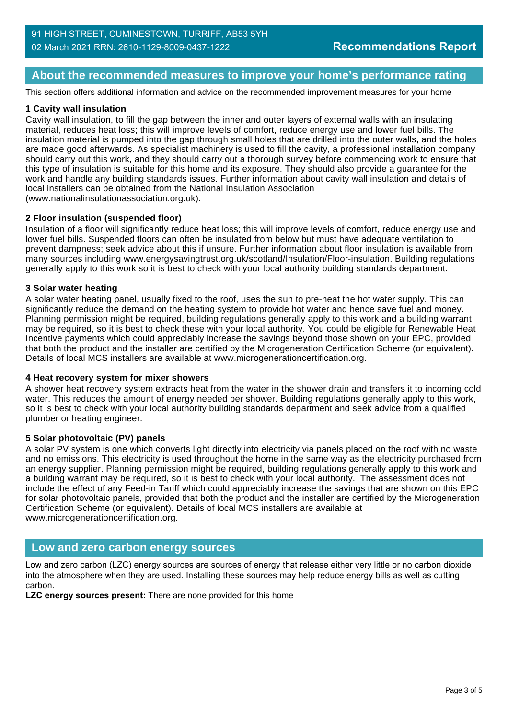## **About the recommended measures to improve your home's performance rating**

This section offers additional information and advice on the recommended improvement measures for your home

#### **1 Cavity wall insulation**

Cavity wall insulation, to fill the gap between the inner and outer layers of external walls with an insulating material, reduces heat loss; this will improve levels of comfort, reduce energy use and lower fuel bills. The insulation material is pumped into the gap through small holes that are drilled into the outer walls, and the holes are made good afterwards. As specialist machinery is used to fill the cavity, a professional installation company should carry out this work, and they should carry out a thorough survey before commencing work to ensure that this type of insulation is suitable for this home and its exposure. They should also provide a guarantee for the work and handle any building standards issues. Further information about cavity wall insulation and details of local installers can be obtained from the National Insulation Association (www.nationalinsulationassociation.org.uk).

#### **2 Floor insulation (suspended floor)**

Insulation of a floor will significantly reduce heat loss; this will improve levels of comfort, reduce energy use and lower fuel bills. Suspended floors can often be insulated from below but must have adequate ventilation to prevent dampness; seek advice about this if unsure. Further information about floor insulation is available from many sources including www.energysavingtrust.org.uk/scotland/Insulation/Floor-insulation. Building regulations generally apply to this work so it is best to check with your local authority building standards department.

#### **3 Solar water heating**

A solar water heating panel, usually fixed to the roof, uses the sun to pre-heat the hot water supply. This can significantly reduce the demand on the heating system to provide hot water and hence save fuel and money. Planning permission might be required, building regulations generally apply to this work and a building warrant may be required, so it is best to check these with your local authority. You could be eligible for Renewable Heat Incentive payments which could appreciably increase the savings beyond those shown on your EPC, provided that both the product and the installer are certified by the Microgeneration Certification Scheme (or equivalent). Details of local MCS installers are available at www.microgenerationcertification.org.

#### **4 Heat recovery system for mixer showers**

A shower heat recovery system extracts heat from the water in the shower drain and transfers it to incoming cold water. This reduces the amount of energy needed per shower. Building regulations generally apply to this work, so it is best to check with your local authority building standards department and seek advice from a qualified plumber or heating engineer.

#### **5 Solar photovoltaic (PV) panels**

A solar PV system is one which converts light directly into electricity via panels placed on the roof with no waste and no emissions. This electricity is used throughout the home in the same way as the electricity purchased from an energy supplier. Planning permission might be required, building regulations generally apply to this work and a building warrant may be required, so it is best to check with your local authority. The assessment does not include the effect of any Feed-in Tariff which could appreciably increase the savings that are shown on this EPC for solar photovoltaic panels, provided that both the product and the installer are certified by the Microgeneration Certification Scheme (or equivalent). Details of local MCS installers are available at www.microgenerationcertification.org.

## **Low and zero carbon energy sources**

Low and zero carbon (LZC) energy sources are sources of energy that release either very little or no carbon dioxide into the atmosphere when they are used. Installing these sources may help reduce energy bills as well as cutting carbon.

**LZC energy sources present:** There are none provided for this home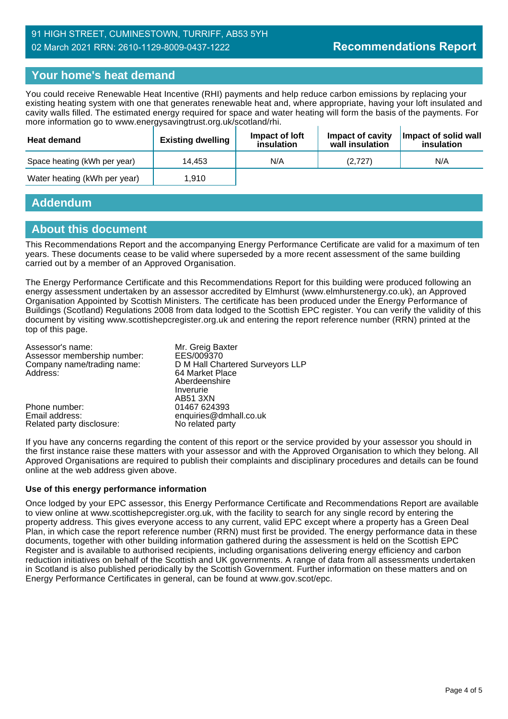## **Your home's heat demand**

You could receive Renewable Heat Incentive (RHI) payments and help reduce carbon emissions by replacing your existing heating system with one that generates renewable heat and, where appropriate, having your loft insulated and cavity walls filled. The estimated energy required for space and water heating will form the basis of the payments. For more information go to www.energysavingtrust.org.uk/scotland/rhi.

| <b>Heat demand</b>           | <b>Existing dwelling</b> | Impact of Joft<br>insulation | Impact of cavity<br>wall insulation | Impact of solid wall<br>insulation |
|------------------------------|--------------------------|------------------------------|-------------------------------------|------------------------------------|
| Space heating (kWh per year) | 14.453                   | N/A                          | (2,727)                             | N/A                                |
| Water heating (kWh per year) | 1.910                    |                              |                                     |                                    |

## **Addendum**

#### **About this document**

This Recommendations Report and the accompanying Energy Performance Certificate are valid for a maximum of ten years. These documents cease to be valid where superseded by a more recent assessment of the same building carried out by a member of an Approved Organisation.

The Energy Performance Certificate and this Recommendations Report for this building were produced following an energy assessment undertaken by an assessor accredited by Elmhurst (www.elmhurstenergy.co.uk), an Approved Organisation Appointed by Scottish Ministers. The certificate has been produced under the Energy Performance of Buildings (Scotland) Regulations 2008 from data lodged to the Scottish EPC register. You can verify the validity of this document by visiting www.scottishepcregister.org.uk and entering the report reference number (RRN) printed at the top of this page.

| Mr. Greig Baxter                 |
|----------------------------------|
| EES/009370                       |
| D M Hall Chartered Surveyors LLP |
| 64 Market Place                  |
| Aberdeenshire                    |
| Inverurie                        |
| AB51 3XN                         |
| 01467 624393                     |
| enquiries@dmhall.co.uk           |
| No related party                 |
|                                  |

If you have any concerns regarding the content of this report or the service provided by your assessor you should in the first instance raise these matters with your assessor and with the Approved Organisation to which they belong. All Approved Organisations are required to publish their complaints and disciplinary procedures and details can be found online at the web address given above.

#### **Use of this energy performance information**

Once lodged by your EPC assessor, this Energy Performance Certificate and Recommendations Report are available to view online at www.scottishepcregister.org.uk, with the facility to search for any single record by entering the property address. This gives everyone access to any current, valid EPC except where a property has a Green Deal Plan, in which case the report reference number (RRN) must first be provided. The energy performance data in these documents, together with other building information gathered during the assessment is held on the Scottish EPC Register and is available to authorised recipients, including organisations delivering energy efficiency and carbon reduction initiatives on behalf of the Scottish and UK governments. A range of data from all assessments undertaken in Scotland is also published periodically by the Scottish Government. Further information on these matters and on Energy Performance Certificates in general, can be found at www.gov.scot/epc.